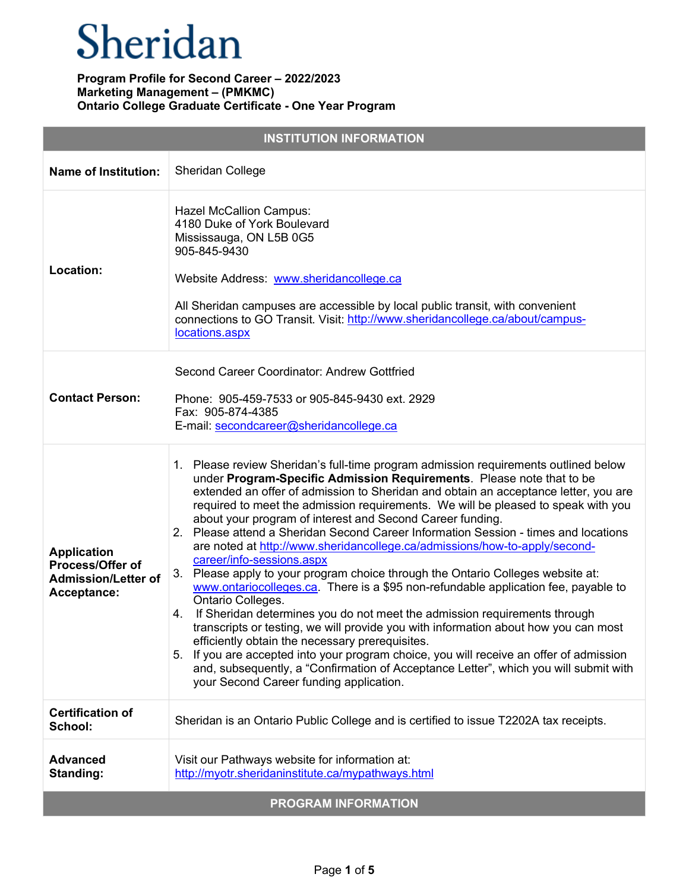| <b>INSTITUTION INFORMATION</b>                                                      |                                                                                                                                                                                                                                                                                                                                                                                                                                                                                                                                                                                                                                                                                                                                                                                                                                                                                                                                                                                                                                                                                                                                                                                                                                                                     |  |
|-------------------------------------------------------------------------------------|---------------------------------------------------------------------------------------------------------------------------------------------------------------------------------------------------------------------------------------------------------------------------------------------------------------------------------------------------------------------------------------------------------------------------------------------------------------------------------------------------------------------------------------------------------------------------------------------------------------------------------------------------------------------------------------------------------------------------------------------------------------------------------------------------------------------------------------------------------------------------------------------------------------------------------------------------------------------------------------------------------------------------------------------------------------------------------------------------------------------------------------------------------------------------------------------------------------------------------------------------------------------|--|
| <b>Name of Institution:</b>                                                         | Sheridan College                                                                                                                                                                                                                                                                                                                                                                                                                                                                                                                                                                                                                                                                                                                                                                                                                                                                                                                                                                                                                                                                                                                                                                                                                                                    |  |
| Location:                                                                           | <b>Hazel McCallion Campus:</b><br>4180 Duke of York Boulevard<br>Mississauga, ON L5B 0G5<br>905-845-9430<br>Website Address: www.sheridancollege.ca<br>All Sheridan campuses are accessible by local public transit, with convenient<br>connections to GO Transit. Visit: http://www.sheridancollege.ca/about/campus-<br>locations.aspx                                                                                                                                                                                                                                                                                                                                                                                                                                                                                                                                                                                                                                                                                                                                                                                                                                                                                                                             |  |
| <b>Contact Person:</b>                                                              | Second Career Coordinator: Andrew Gottfried<br>Phone: 905-459-7533 or 905-845-9430 ext. 2929<br>Fax: 905-874-4385<br>E-mail: secondcareer@sheridancollege.ca                                                                                                                                                                                                                                                                                                                                                                                                                                                                                                                                                                                                                                                                                                                                                                                                                                                                                                                                                                                                                                                                                                        |  |
| <b>Application</b><br>Process/Offer of<br><b>Admission/Letter of</b><br>Acceptance: | 1. Please review Sheridan's full-time program admission requirements outlined below<br>under Program-Specific Admission Requirements. Please note that to be<br>extended an offer of admission to Sheridan and obtain an acceptance letter, you are<br>required to meet the admission requirements. We will be pleased to speak with you<br>about your program of interest and Second Career funding.<br>2. Please attend a Sheridan Second Career Information Session - times and locations<br>are noted at http://www.sheridancollege.ca/admissions/how-to-apply/second-<br>career/info-sessions.aspx<br>Please apply to your program choice through the Ontario Colleges website at:<br>3.<br>www.ontariocolleges.ca. There is a \$95 non-refundable application fee, payable to<br>Ontario Colleges.<br>4. If Sheridan determines you do not meet the admission requirements through<br>transcripts or testing, we will provide you with information about how you can most<br>efficiently obtain the necessary prerequisites.<br>If you are accepted into your program choice, you will receive an offer of admission<br>5.<br>and, subsequently, a "Confirmation of Acceptance Letter", which you will submit with<br>your Second Career funding application. |  |
| <b>Certification of</b><br>School:                                                  | Sheridan is an Ontario Public College and is certified to issue T2202A tax receipts.                                                                                                                                                                                                                                                                                                                                                                                                                                                                                                                                                                                                                                                                                                                                                                                                                                                                                                                                                                                                                                                                                                                                                                                |  |
| <b>Advanced</b><br>Standing:                                                        | Visit our Pathways website for information at:<br>http://myotr.sheridaninstitute.ca/mypathways.html                                                                                                                                                                                                                                                                                                                                                                                                                                                                                                                                                                                                                                                                                                                                                                                                                                                                                                                                                                                                                                                                                                                                                                 |  |
|                                                                                     | <b>PROGRAM INFORMATION</b>                                                                                                                                                                                                                                                                                                                                                                                                                                                                                                                                                                                                                                                                                                                                                                                                                                                                                                                                                                                                                                                                                                                                                                                                                                          |  |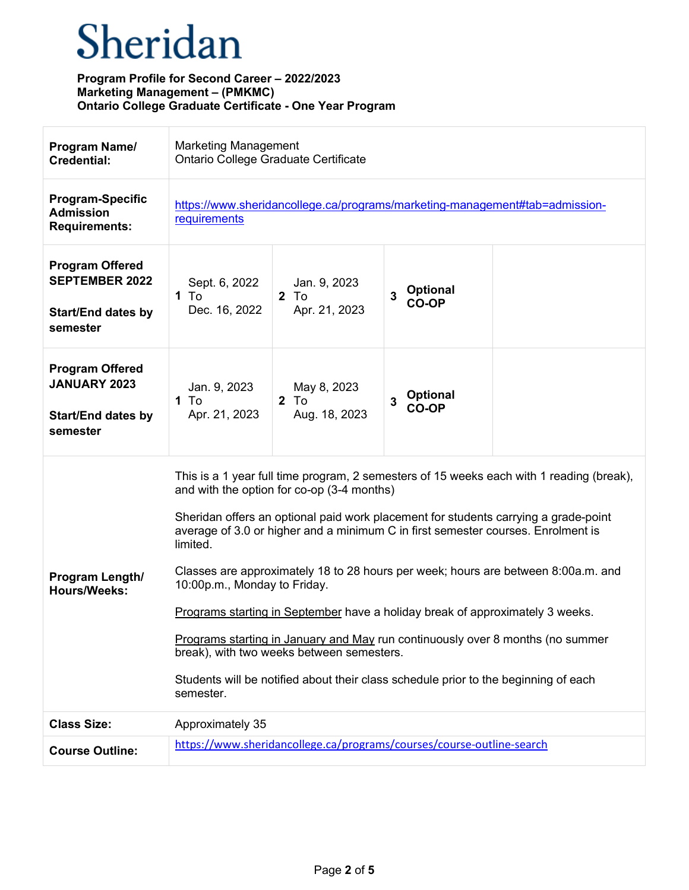| Program Name/<br><b>Credential:</b>                                                      | <b>Marketing Management</b><br>Ontario College Graduate Certificate                                                                                                                                                                                                                                                                                                                                                                                                                                                                                                                                                                                                                                                                                                    |                                                                       |                                      |  |
|------------------------------------------------------------------------------------------|------------------------------------------------------------------------------------------------------------------------------------------------------------------------------------------------------------------------------------------------------------------------------------------------------------------------------------------------------------------------------------------------------------------------------------------------------------------------------------------------------------------------------------------------------------------------------------------------------------------------------------------------------------------------------------------------------------------------------------------------------------------------|-----------------------------------------------------------------------|--------------------------------------|--|
| <b>Program-Specific</b><br><b>Admission</b><br><b>Requirements:</b>                      | https://www.sheridancollege.ca/programs/marketing-management#tab=admission-<br>requirements                                                                                                                                                                                                                                                                                                                                                                                                                                                                                                                                                                                                                                                                            |                                                                       |                                      |  |
| <b>Program Offered</b><br><b>SEPTEMBER 2022</b><br><b>Start/End dates by</b><br>semester | Sept. 6, 2022<br>1 To<br>Dec. 16, 2022                                                                                                                                                                                                                                                                                                                                                                                                                                                                                                                                                                                                                                                                                                                                 | Jan. 9, 2023<br>$2$ To<br>Apr. 21, 2023                               | <b>Optional</b><br>3<br>CO-OP        |  |
| <b>Program Offered</b><br><b>JANUARY 2023</b><br><b>Start/End dates by</b><br>semester   | Jan. 9, 2023<br>1 To<br>Apr. 21, 2023                                                                                                                                                                                                                                                                                                                                                                                                                                                                                                                                                                                                                                                                                                                                  | May 8, 2023<br>$2$ To<br>Aug. 18, 2023                                | <b>Optional</b><br>3<br><b>CO-OP</b> |  |
| Program Length/<br><b>Hours/Weeks:</b>                                                   | This is a 1 year full time program, 2 semesters of 15 weeks each with 1 reading (break),<br>and with the option for co-op (3-4 months)<br>Sheridan offers an optional paid work placement for students carrying a grade-point<br>average of 3.0 or higher and a minimum C in first semester courses. Enrolment is<br>limited.<br>Classes are approximately 18 to 28 hours per week; hours are between 8:00a.m. and<br>10:00p.m., Monday to Friday.<br>Programs starting in September have a holiday break of approximately 3 weeks.<br>Programs starting in January and May run continuously over 8 months (no summer<br>break), with two weeks between semesters.<br>Students will be notified about their class schedule prior to the beginning of each<br>semester. |                                                                       |                                      |  |
| <b>Class Size:</b>                                                                       | Approximately 35                                                                                                                                                                                                                                                                                                                                                                                                                                                                                                                                                                                                                                                                                                                                                       |                                                                       |                                      |  |
| <b>Course Outline:</b>                                                                   |                                                                                                                                                                                                                                                                                                                                                                                                                                                                                                                                                                                                                                                                                                                                                                        | https://www.sheridancollege.ca/programs/courses/course-outline-search |                                      |  |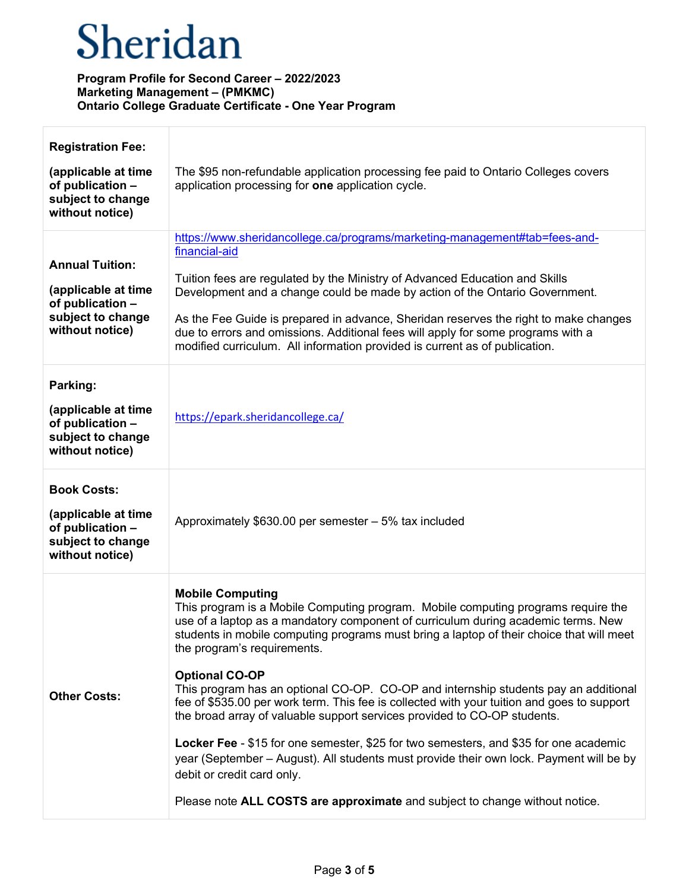| <b>Registration Fee:</b>                                                                                  |                                                                                                                                                                                                                                                                                                                                                                                                                                                                                                                                                                                                                                                                                                                                                                                                                                                                                                                         |
|-----------------------------------------------------------------------------------------------------------|-------------------------------------------------------------------------------------------------------------------------------------------------------------------------------------------------------------------------------------------------------------------------------------------------------------------------------------------------------------------------------------------------------------------------------------------------------------------------------------------------------------------------------------------------------------------------------------------------------------------------------------------------------------------------------------------------------------------------------------------------------------------------------------------------------------------------------------------------------------------------------------------------------------------------|
| (applicable at time<br>of publication -<br>subject to change<br>without notice)                           | The \$95 non-refundable application processing fee paid to Ontario Colleges covers<br>application processing for one application cycle.                                                                                                                                                                                                                                                                                                                                                                                                                                                                                                                                                                                                                                                                                                                                                                                 |
| <b>Annual Tuition:</b><br>(applicable at time<br>of publication -<br>subject to change<br>without notice) | https://www.sheridancollege.ca/programs/marketing-management#tab=fees-and-<br>financial-aid<br>Tuition fees are regulated by the Ministry of Advanced Education and Skills<br>Development and a change could be made by action of the Ontario Government.<br>As the Fee Guide is prepared in advance, Sheridan reserves the right to make changes<br>due to errors and omissions. Additional fees will apply for some programs with a<br>modified curriculum. All information provided is current as of publication.                                                                                                                                                                                                                                                                                                                                                                                                    |
| Parking:<br>(applicable at time<br>of publication -<br>subject to change<br>without notice)               | https://epark.sheridancollege.ca/                                                                                                                                                                                                                                                                                                                                                                                                                                                                                                                                                                                                                                                                                                                                                                                                                                                                                       |
| <b>Book Costs:</b><br>(applicable at time<br>of publication -<br>subject to change<br>without notice)     | Approximately \$630.00 per semester - 5% tax included                                                                                                                                                                                                                                                                                                                                                                                                                                                                                                                                                                                                                                                                                                                                                                                                                                                                   |
| <b>Other Costs:</b>                                                                                       | <b>Mobile Computing</b><br>This program is a Mobile Computing program. Mobile computing programs require the<br>use of a laptop as a mandatory component of curriculum during academic terms. New<br>students in mobile computing programs must bring a laptop of their choice that will meet<br>the program's requirements.<br><b>Optional CO-OP</b><br>This program has an optional CO-OP. CO-OP and internship students pay an additional<br>fee of \$535.00 per work term. This fee is collected with your tuition and goes to support<br>the broad array of valuable support services provided to CO-OP students.<br>Locker Fee - \$15 for one semester, \$25 for two semesters, and \$35 for one academic<br>year (September – August). All students must provide their own lock. Payment will be by<br>debit or credit card only.<br>Please note ALL COSTS are approximate and subject to change without notice. |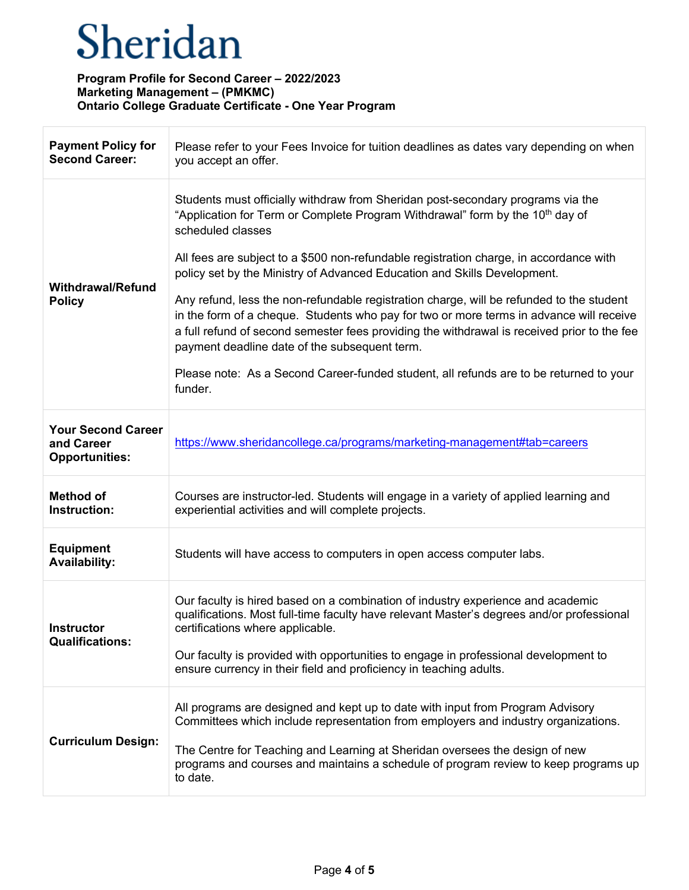$\Gamma$ 

| <b>Payment Policy for</b><br><b>Second Career:</b>               | Please refer to your Fees Invoice for tuition deadlines as dates vary depending on when<br>you accept an offer.                                                                                                                                                                                                                                                                                                                                                                                                                                                                                                                                                                                                                                                                                                     |  |
|------------------------------------------------------------------|---------------------------------------------------------------------------------------------------------------------------------------------------------------------------------------------------------------------------------------------------------------------------------------------------------------------------------------------------------------------------------------------------------------------------------------------------------------------------------------------------------------------------------------------------------------------------------------------------------------------------------------------------------------------------------------------------------------------------------------------------------------------------------------------------------------------|--|
| <b>Withdrawal/Refund</b><br><b>Policy</b>                        | Students must officially withdraw from Sheridan post-secondary programs via the<br>"Application for Term or Complete Program Withdrawal" form by the 10 <sup>th</sup> day of<br>scheduled classes<br>All fees are subject to a \$500 non-refundable registration charge, in accordance with<br>policy set by the Ministry of Advanced Education and Skills Development.<br>Any refund, less the non-refundable registration charge, will be refunded to the student<br>in the form of a cheque. Students who pay for two or more terms in advance will receive<br>a full refund of second semester fees providing the withdrawal is received prior to the fee<br>payment deadline date of the subsequent term.<br>Please note: As a Second Career-funded student, all refunds are to be returned to your<br>funder. |  |
| <b>Your Second Career</b><br>and Career<br><b>Opportunities:</b> | https://www.sheridancollege.ca/programs/marketing-management#tab=careers                                                                                                                                                                                                                                                                                                                                                                                                                                                                                                                                                                                                                                                                                                                                            |  |
| <b>Method of</b><br>Instruction:                                 | Courses are instructor-led. Students will engage in a variety of applied learning and<br>experiential activities and will complete projects.                                                                                                                                                                                                                                                                                                                                                                                                                                                                                                                                                                                                                                                                        |  |
| <b>Equipment</b><br><b>Availability:</b>                         | Students will have access to computers in open access computer labs.                                                                                                                                                                                                                                                                                                                                                                                                                                                                                                                                                                                                                                                                                                                                                |  |
| <b>Instructor</b><br><b>Qualifications:</b>                      | Our faculty is hired based on a combination of industry experience and academic<br>qualifications. Most full-time faculty have relevant Master's degrees and/or professional<br>certifications where applicable.<br>Our faculty is provided with opportunities to engage in professional development to<br>ensure currency in their field and proficiency in teaching adults.                                                                                                                                                                                                                                                                                                                                                                                                                                       |  |
| <b>Curriculum Design:</b>                                        | All programs are designed and kept up to date with input from Program Advisory<br>Committees which include representation from employers and industry organizations.<br>The Centre for Teaching and Learning at Sheridan oversees the design of new<br>programs and courses and maintains a schedule of program review to keep programs up<br>to date.                                                                                                                                                                                                                                                                                                                                                                                                                                                              |  |